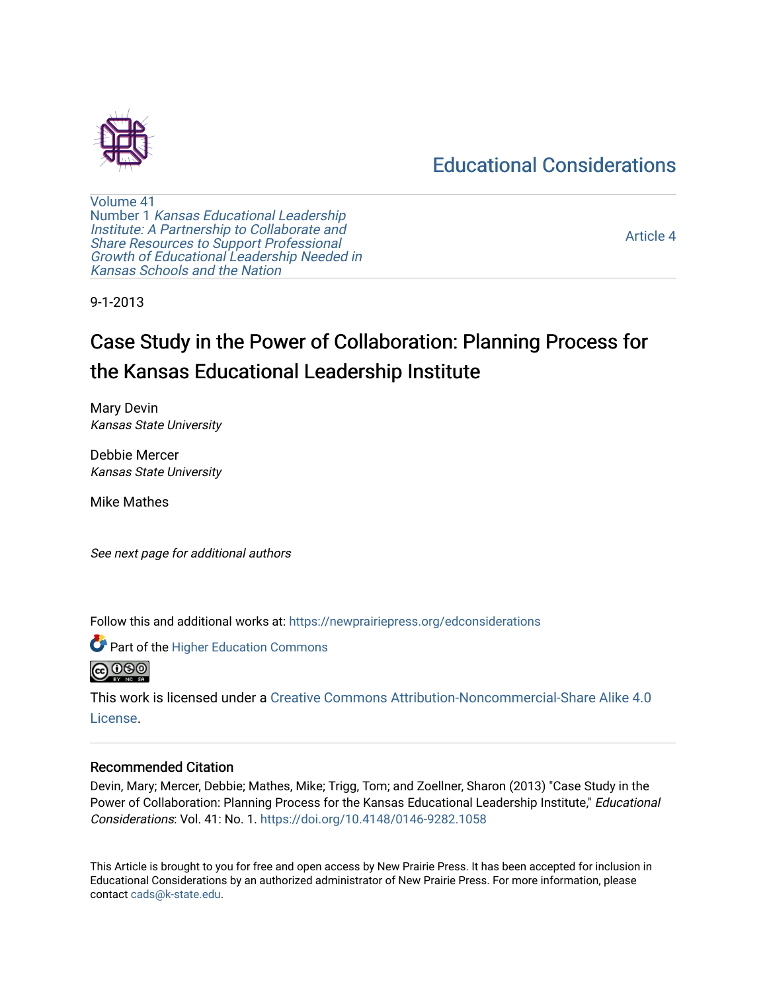# [Educational Considerations](https://newprairiepress.org/edconsiderations)



[Volume 41](https://newprairiepress.org/edconsiderations/vol41) Number 1 [Kansas Educational Leadership](https://newprairiepress.org/edconsiderations/vol41/iss1)  [Institute: A Partnership to Collaborate and](https://newprairiepress.org/edconsiderations/vol41/iss1) [Share Resources to Support Professional](https://newprairiepress.org/edconsiderations/vol41/iss1) [Growth of Educational Leadership Needed in](https://newprairiepress.org/edconsiderations/vol41/iss1)  [Kansas Schools and the Nation](https://newprairiepress.org/edconsiderations/vol41/iss1) 

[Article 4](https://newprairiepress.org/edconsiderations/vol41/iss1/4) 

9-1-2013

# Case Study in the Power of Collaboration: Planning Process for the Kansas Educational Leadership Institute

Mary Devin Kansas State University

Debbie Mercer Kansas State University

Mike Mathes

See next page for additional authors

Follow this and additional works at: [https://newprairiepress.org/edconsiderations](https://newprairiepress.org/edconsiderations?utm_source=newprairiepress.org%2Fedconsiderations%2Fvol41%2Fiss1%2F4&utm_medium=PDF&utm_campaign=PDFCoverPages) 



This work is licensed under a [Creative Commons Attribution-Noncommercial-Share Alike 4.0](https://creativecommons.org/licenses/by-nc-sa/4.0/) [License.](https://creativecommons.org/licenses/by-nc-sa/4.0/)

#### Recommended Citation

Devin, Mary; Mercer, Debbie; Mathes, Mike; Trigg, Tom; and Zoellner, Sharon (2013) "Case Study in the Power of Collaboration: Planning Process for the Kansas Educational Leadership Institute," Educational Considerations: Vol. 41: No. 1. <https://doi.org/10.4148/0146-9282.1058>

This Article is brought to you for free and open access by New Prairie Press. It has been accepted for inclusion in Educational Considerations by an authorized administrator of New Prairie Press. For more information, please contact [cads@k-state.edu](mailto:cads@k-state.edu).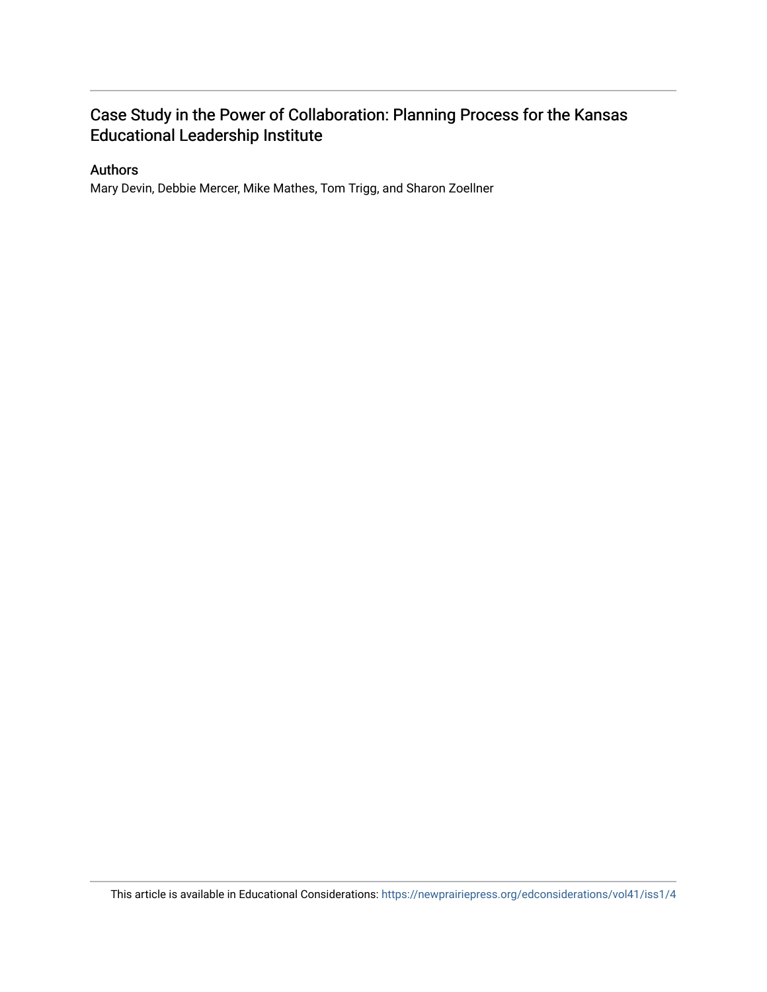# Case Study in the Power of Collaboration: Planning Process for the Kansas Educational Leadership Institute

## Authors

Mary Devin, Debbie Mercer, Mike Mathes, Tom Trigg, and Sharon Zoellner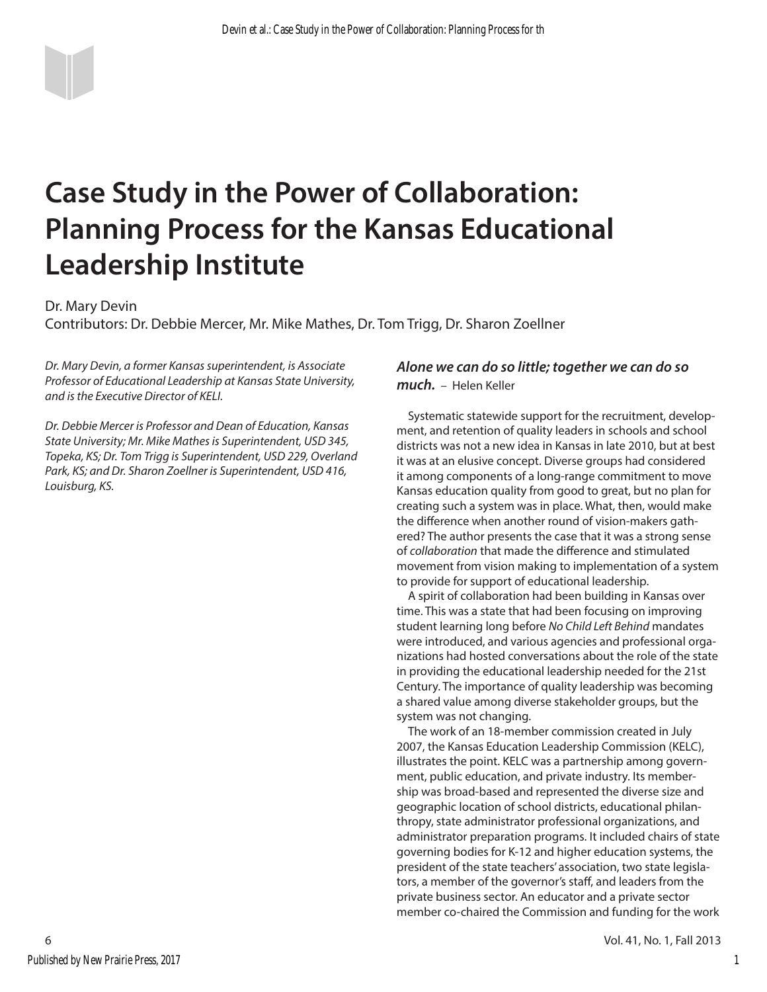# **Case Study in the Power of Collaboration: Planning Process for the Kansas Educational Leadership Institute**

Dr. Mary Devin

Contributors: Dr. Debbie Mercer, Mr. Mike Mathes, Dr. Tom Trigg, Dr. Sharon Zoellner

*Dr. Mary Devin, a former Kansas superintendent, is Associate Professor of Educational Leadership at Kansas State University, and is the Executive Director of KELI.*

*Dr. Debbie Mercer is Professor and Dean of Education, Kansas State University; Mr. Mike Mathes is Superintendent, USD 345, Topeka, KS; Dr. Tom Trigg is Superintendent, USD 229, Overland Park, KS; and Dr. Sharon Zoellner is Superintendent, USD 416, Louisburg, KS.*

### *Alone we can do so little; together we can do so much.* – Helen Keller

Systematic statewide support for the recruitment, development, and retention of quality leaders in schools and school districts was not a new idea in Kansas in late 2010, but at best it was at an elusive concept. Diverse groups had considered it among components of a long-range commitment to move Kansas education quality from good to great, but no plan for creating such a system was in place. What, then, would make the difference when another round of vision-makers gathered? The author presents the case that it was a strong sense of *collaboration* that made the difference and stimulated movement from vision making to implementation of a system to provide for support of educational leadership.

A spirit of collaboration had been building in Kansas over time. This was a state that had been focusing on improving student learning long before *No Child Left Behind* mandates were introduced, and various agencies and professional organizations had hosted conversations about the role of the state in providing the educational leadership needed for the 21st Century. The importance of quality leadership was becoming a shared value among diverse stakeholder groups, but the system was not changing.

The work of an 18-member commission created in July 2007, the Kansas Education Leadership Commission (KELC), illustrates the point. KELC was a partnership among government, public education, and private industry. Its membership was broad-based and represented the diverse size and geographic location of school districts, educational philanthropy, state administrator professional organizations, and administrator preparation programs. It included chairs of state governing bodies for K-12 and higher education systems, the president of the state teachers' association, two state legislators, a member of the governor's staff, and leaders from the private business sector. An educator and a private sector member co-chaired the Commission and funding for the work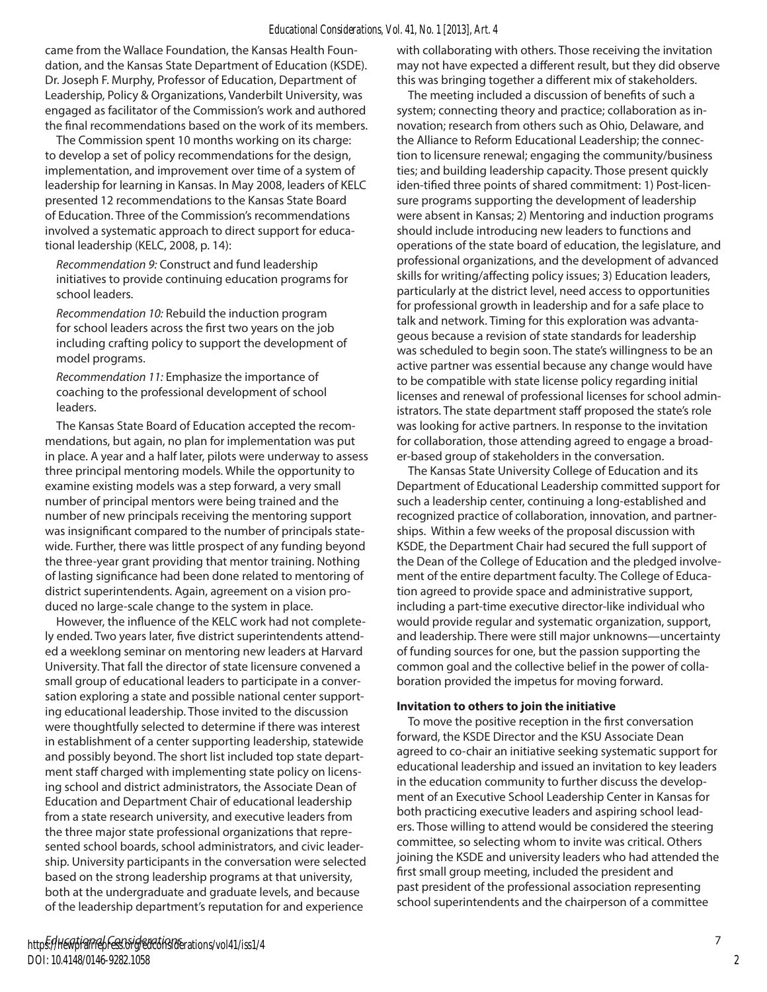came from the Wallace Foundation, the Kansas Health Foundation, and the Kansas State Department of Education (KSDE). Dr. Joseph F. Murphy, Professor of Education, Department of Leadership, Policy & Organizations, Vanderbilt University, was engaged as facilitator of the Commission's work and authored the final recommendations based on the work of its members.

The Commission spent 10 months working on its charge: to develop a set of policy recommendations for the design, implementation, and improvement over time of a system of leadership for learning in Kansas. In May 2008, leaders of KELC presented 12 recommendations to the Kansas State Board of Education. Three of the Commission's recommendations involved a systematic approach to direct support for educational leadership (KELC, 2008, p. 14):

*Recommendation 9:* Construct and fund leadership initiatives to provide continuing education programs for school leaders.

*Recommendation 10:* Rebuild the induction program for school leaders across the first two years on the job including crafting policy to support the development of model programs.

*Recommendation 11:* Emphasize the importance of coaching to the professional development of school leaders.

The Kansas State Board of Education accepted the recommendations, but again, no plan for implementation was put in place. A year and a half later, pilots were underway to assess three principal mentoring models. While the opportunity to examine existing models was a step forward, a very small number of principal mentors were being trained and the number of new principals receiving the mentoring support was insignificant compared to the number of principals statewide. Further, there was little prospect of any funding beyond the three-year grant providing that mentor training. Nothing of lasting significance had been done related to mentoring of district superintendents. Again, agreement on a vision produced no large-scale change to the system in place.

However, the influence of the KELC work had not completely ended. Two years later, five district superintendents attended a weeklong seminar on mentoring new leaders at Harvard University. That fall the director of state licensure convened a small group of educational leaders to participate in a conversation exploring a state and possible national center supporting educational leadership. Those invited to the discussion were thoughtfully selected to determine if there was interest in establishment of a center supporting leadership, statewide and possibly beyond. The short list included top state department staff charged with implementing state policy on licensing school and district administrators, the Associate Dean of Education and Department Chair of educational leadership from a state research university, and executive leaders from the three major state professional organizations that represented school boards, school administrators, and civic leadership. University participants in the conversation were selected based on the strong leadership programs at that university, both at the undergraduate and graduate levels, and because of the leadership department's reputation for and experience

with collaborating with others. Those receiving the invitation may not have expected a different result, but they did observe this was bringing together a different mix of stakeholders.

The meeting included a discussion of benefits of such a system; connecting theory and practice; collaboration as innovation; research from others such as Ohio, Delaware, and the Alliance to Reform Educational Leadership; the connection to licensure renewal; engaging the community/business ties; and building leadership capacity. Those present quickly iden-tified three points of shared commitment: 1) Post-licensure programs supporting the development of leadership were absent in Kansas; 2) Mentoring and induction programs should include introducing new leaders to functions and operations of the state board of education, the legislature, and professional organizations, and the development of advanced skills for writing/affecting policy issues; 3) Education leaders, particularly at the district level, need access to opportunities for professional growth in leadership and for a safe place to talk and network. Timing for this exploration was advantageous because a revision of state standards for leadership was scheduled to begin soon. The state's willingness to be an active partner was essential because any change would have to be compatible with state license policy regarding initial licenses and renewal of professional licenses for school administrators. The state department staff proposed the state's role was looking for active partners. In response to the invitation for collaboration, those attending agreed to engage a broader-based group of stakeholders in the conversation.

The Kansas State University College of Education and its Department of Educational Leadership committed support for such a leadership center, continuing a long-established and recognized practice of collaboration, innovation, and partnerships. Within a few weeks of the proposal discussion with KSDE, the Department Chair had secured the full support of the Dean of the College of Education and the pledged involvement of the entire department faculty. The College of Education agreed to provide space and administrative support, including a part-time executive director-like individual who would provide regular and systematic organization, support, and leadership. There were still major unknowns—uncertainty of funding sources for one, but the passion supporting the common goal and the collective belief in the power of collaboration provided the impetus for moving forward.

#### **Invitation to others to join the initiative**

To move the positive reception in the first conversation forward, the KSDE Director and the KSU Associate Dean agreed to co-chair an initiative seeking systematic support for educational leadership and issued an invitation to key leaders in the education community to further discuss the development of an Executive School Leadership Center in Kansas for both practicing executive leaders and aspiring school leaders. Those willing to attend would be considered the steering committee, so selecting whom to invite was critical. Others joining the KSDE and university leaders who had attended the first small group meeting, included the president and past president of the professional association representing school superintendents and the chairperson of a committee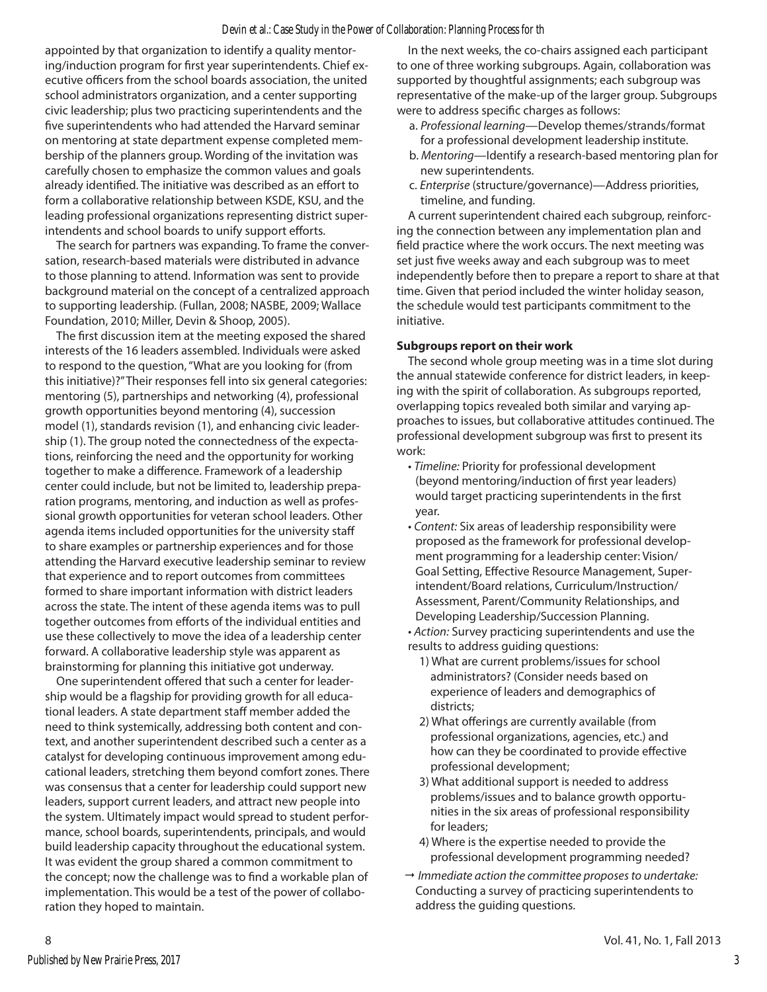appointed by that organization to identify a quality mentoring/induction program for first year superintendents. Chief executive officers from the school boards association, the united school administrators organization, and a center supporting civic leadership; plus two practicing superintendents and the five superintendents who had attended the Harvard seminar on mentoring at state department expense completed membership of the planners group. Wording of the invitation was carefully chosen to emphasize the common values and goals already identified. The initiative was described as an effort to form a collaborative relationship between KSDE, KSU, and the leading professional organizations representing district superintendents and school boards to unify support efforts.

The search for partners was expanding. To frame the conversation, research-based materials were distributed in advance to those planning to attend. Information was sent to provide background material on the concept of a centralized approach to supporting leadership. (Fullan, 2008; NASBE, 2009; Wallace Foundation, 2010; Miller, Devin & Shoop, 2005).

The first discussion item at the meeting exposed the shared interests of the 16 leaders assembled. Individuals were asked to respond to the question, "What are you looking for (from this initiative)?" Their responses fell into six general categories: mentoring (5), partnerships and networking (4), professional growth opportunities beyond mentoring (4), succession model (1), standards revision (1), and enhancing civic leadership (1). The group noted the connectedness of the expectations, reinforcing the need and the opportunity for working together to make a difference. Framework of a leadership center could include, but not be limited to, leadership preparation programs, mentoring, and induction as well as professional growth opportunities for veteran school leaders. Other agenda items included opportunities for the university staff to share examples or partnership experiences and for those attending the Harvard executive leadership seminar to review that experience and to report outcomes from committees formed to share important information with district leaders across the state. The intent of these agenda items was to pull together outcomes from efforts of the individual entities and use these collectively to move the idea of a leadership center forward. A collaborative leadership style was apparent as brainstorming for planning this initiative got underway.

One superintendent offered that such a center for leadership would be a flagship for providing growth for all educational leaders. A state department staff member added the need to think systemically, addressing both content and context, and another superintendent described such a center as a catalyst for developing continuous improvement among educational leaders, stretching them beyond comfort zones. There was consensus that a center for leadership could support new leaders, support current leaders, and attract new people into the system. Ultimately impact would spread to student performance, school boards, superintendents, principals, and would build leadership capacity throughout the educational system. It was evident the group shared a common commitment to the concept; now the challenge was to find a workable plan of implementation. This would be a test of the power of collaboration they hoped to maintain.

In the next weeks, the co-chairs assigned each participant to one of three working subgroups. Again, collaboration was supported by thoughtful assignments; each subgroup was representative of the make-up of the larger group. Subgroups were to address specific charges as follows:

- a. *Professional learning*—Develop themes/strands/format for a professional development leadership institute.
- b. *Mentoring*—Identify a research-based mentoring plan for new superintendents.
- c. *Enterprise* (structure/governance)—Address priorities, timeline, and funding.

A current superintendent chaired each subgroup, reinforcing the connection between any implementation plan and field practice where the work occurs. The next meeting was set just five weeks away and each subgroup was to meet independently before then to prepare a report to share at that time. Given that period included the winter holiday season, the schedule would test participants commitment to the initiative.

#### **Subgroups report on their work**

The second whole group meeting was in a time slot during the annual statewide conference for district leaders, in keeping with the spirit of collaboration. As subgroups reported, overlapping topics revealed both similar and varying approaches to issues, but collaborative attitudes continued. The professional development subgroup was first to present its work:

- *Timeline:* Priority for professional development (beyond mentoring/induction of first year leaders) would target practicing superintendents in the first year.
- *Content:* Six areas of leadership responsibility were proposed as the framework for professional development programming for a leadership center: Vision/ Goal Setting, Effective Resource Management, Superintendent/Board relations, Curriculum/Instruction/ Assessment, Parent/Community Relationships, and Developing Leadership/Succession Planning.

• *Action:* Survey practicing superintendents and use the results to address guiding questions:

- 1) What are current problems/issues for school administrators? (Consider needs based on experience of leaders and demographics of districts;
- 2) What offerings are currently available (from professional organizations, agencies, etc.) and how can they be coordinated to provide effective professional development;
- 3) What additional support is needed to address problems/issues and to balance growth opportunities in the six areas of professional responsibility for leaders;
- 4) Where is the expertise needed to provide the professional development programming needed?
- " *Immediate action the committee proposes to undertake:* Conducting a survey of practicing superintendents to address the guiding questions.

3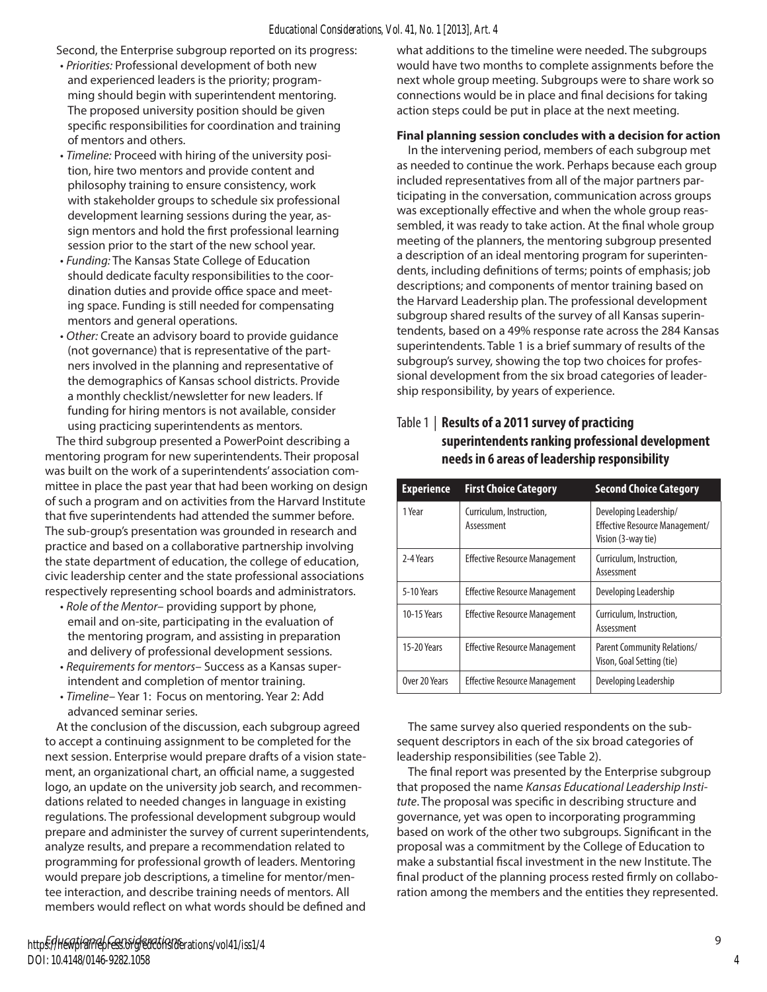Second, the Enterprise subgroup reported on its progress:

- *Priorities:* Professional development of both new and experienced leaders is the priority; programming should begin with superintendent mentoring. The proposed university position should be given specific responsibilities for coordination and training of mentors and others.
- *Timeline:* Proceed with hiring of the university position, hire two mentors and provide content and philosophy training to ensure consistency, work with stakeholder groups to schedule six professional development learning sessions during the year, assign mentors and hold the first professional learning session prior to the start of the new school year.
- *Funding:* The Kansas State College of Education should dedicate faculty responsibilities to the coordination duties and provide office space and meeting space. Funding is still needed for compensating mentors and general operations.
- *Other:* Create an advisory board to provide guidance (not governance) that is representative of the partners involved in the planning and representative of the demographics of Kansas school districts. Provide a monthly checklist/newsletter for new leaders. If funding for hiring mentors is not available, consider using practicing superintendents as mentors.

The third subgroup presented a PowerPoint describing a mentoring program for new superintendents. Their proposal was built on the work of a superintendents' association committee in place the past year that had been working on design of such a program and on activities from the Harvard Institute that five superintendents had attended the summer before. The sub-group's presentation was grounded in research and practice and based on a collaborative partnership involving the state department of education, the college of education, civic leadership center and the state professional associations respectively representing school boards and administrators.

- *Role of the Mentor–* providing support by phone, email and on-site, participating in the evaluation of the mentoring program, and assisting in preparation and delivery of professional development sessions.
- *Requirements for mentors–* Success as a Kansas superintendent and completion of mentor training.
- *Timeline–* Year 1: Focus on mentoring. Year 2: Add advanced seminar series.

At the conclusion of the discussion, each subgroup agreed to accept a continuing assignment to be completed for the next session. Enterprise would prepare drafts of a vision statement, an organizational chart, an official name, a suggested logo, an update on the university job search, and recommendations related to needed changes in language in existing regulations. The professional development subgroup would prepare and administer the survey of current superintendents, analyze results, and prepare a recommendation related to programming for professional growth of leaders. Mentoring would prepare job descriptions, a timeline for mentor/mentee interaction, and describe training needs of mentors. All members would reflect on what words should be defined and

what additions to the timeline were needed. The subgroups would have two months to complete assignments before the next whole group meeting. Subgroups were to share work so connections would be in place and final decisions for taking action steps could be put in place at the next meeting.

#### **Final planning session concludes with a decision for action**

In the intervening period, members of each subgroup met as needed to continue the work. Perhaps because each group included representatives from all of the major partners participating in the conversation, communication across groups was exceptionally effective and when the whole group reassembled, it was ready to take action. At the final whole group meeting of the planners, the mentoring subgroup presented a description of an ideal mentoring program for superintendents, including definitions of terms; points of emphasis; job descriptions; and components of mentor training based on the Harvard Leadership plan. The professional development subgroup shared results of the survey of all Kansas superintendents, based on a 49% response rate across the 284 Kansas superintendents. Table 1 is a brief summary of results of the subgroup's survey, showing the top two choices for professional development from the six broad categories of leadership responsibility, by years of experience.

| <b>Experience</b> | <b>First Choice Category</b>           | <b>Second Choice Category</b>                                                         |
|-------------------|----------------------------------------|---------------------------------------------------------------------------------------|
| 1 Year            | Curriculum, Instruction,<br>Assessment | Developing Leadership/<br><b>Effective Resource Management/</b><br>Vision (3-way tie) |
| 2-4 Years         | <b>Effective Resource Management</b>   | Curriculum, Instruction,<br>Assessment                                                |
| 5-10 Years        | <b>Effective Resource Management</b>   | Developing Leadership                                                                 |
| 10-15 Years       | <b>Effective Resource Management</b>   | Curriculum, Instruction,<br>Assessment                                                |
| 15-20 Years       | <b>Effective Resource Management</b>   | Parent Community Relations/<br>Vison, Goal Setting (tie)                              |
| Over 20 Years     | <b>Effective Resource Management</b>   | Developing Leadership                                                                 |

## Table 1 | **Results of a 2011 survey of practicing superintendents ranking professional development needs in 6 areas of leadership responsibility**

The same survey also queried respondents on the subsequent descriptors in each of the six broad categories of leadership responsibilities (see Table 2).

The final report was presented by the Enterprise subgroup that proposed the name *Kansas Educational Leadership Institute*. The proposal was specific in describing structure and governance, yet was open to incorporating programming based on work of the other two subgroups. Significant in the proposal was a commitment by the College of Education to make a substantial fiscal investment in the new Institute. The final product of the planning process rested firmly on collaboration among the members and the entities they represented.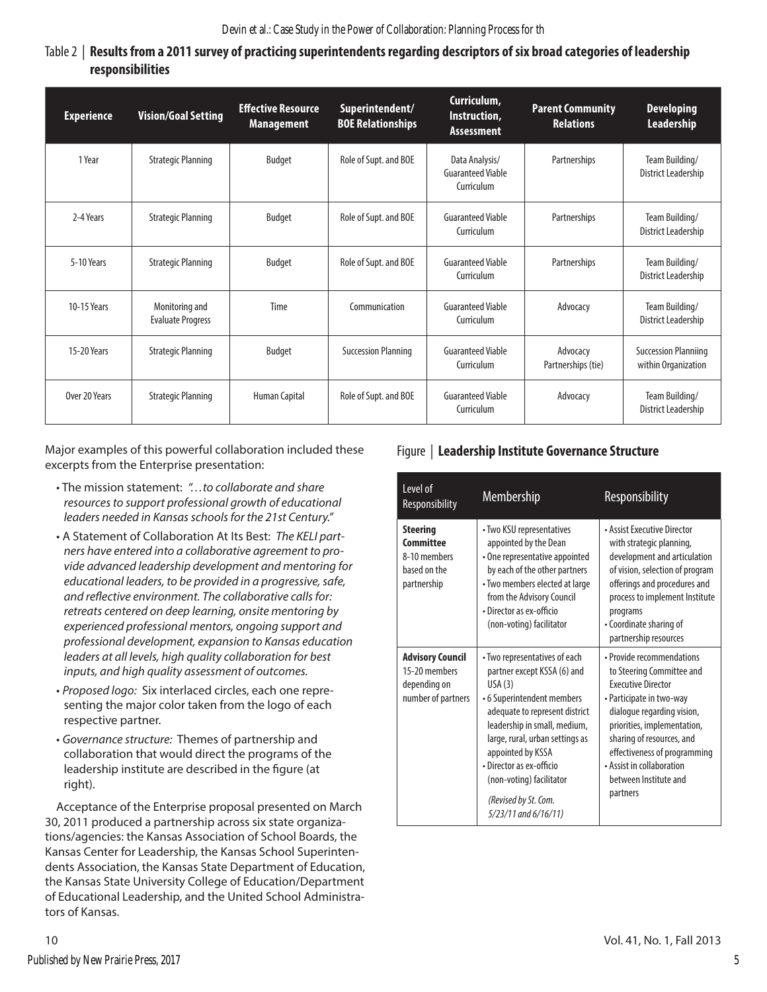# Table 2 | **Results from a 2011 survey of practicing superintendents regarding descriptors of six broad categories of leadership responsibilities**

| <b>Experience</b> | <b>Vision/Goal Setting</b>                 | <b>Effective Resource</b><br><b>Management</b> | Superintendent/<br><b>BOE Relationships</b> | Curriculum,<br>Instruction,<br><b>Assessment</b>         | <b>Parent Community</b><br><b>Relations</b> | <b>Developing</b><br>Leadership                    |
|-------------------|--------------------------------------------|------------------------------------------------|---------------------------------------------|----------------------------------------------------------|---------------------------------------------|----------------------------------------------------|
| 1 Year            | <b>Strategic Planning</b>                  | Budget                                         | Role of Supt. and BOE                       | Data Analysis/<br><b>Guaranteed Viable</b><br>Curriculum | Partnerships                                | Team Building/<br>District Leadership              |
| 2-4 Years         | <b>Strategic Planning</b>                  | Budget                                         | Role of Supt. and BOE                       | <b>Guaranteed Viable</b><br>Curriculum                   | Partnerships                                | Team Building/<br>District Leadership              |
| 5-10 Years        | <b>Strategic Planning</b>                  | <b>Budget</b>                                  | Role of Supt. and BOE                       | <b>Guaranteed Viable</b><br>Curriculum                   | Partnerships                                | Team Building/<br>District Leadership              |
| 10-15 Years       | Monitoring and<br><b>Evaluate Progress</b> | Time                                           | Communication                               | <b>Guaranteed Viable</b><br>Curriculum                   | Advocacy                                    | Team Building/<br>District Leadership              |
| 15-20 Years       | <b>Strategic Planning</b>                  | <b>Budget</b>                                  | <b>Succession Planning</b>                  | <b>Guaranteed Viable</b><br>Curriculum                   | Advocacy<br>Partnerships (tie)              | <b>Succession Planniing</b><br>within Organization |
| Over 20 Years     | <b>Strategic Planning</b>                  | Human Capital                                  | Role of Supt. and BOE                       | <b>Guaranteed Viable</b><br>Curriculum                   | Advocacy                                    | Team Building/<br>District Leadership              |

Major examples of this powerful collaboration included these excerpts from the Enterprise presentation:

- The mission statement: *"…to collaborate and share resources to support professional growth of educational leaders needed in Kansas schools for the 21st Century."*
- A Statement of Collaboration At Its Best: *The KELI partners have entered into a collaborative agreement to provide advanced leadership development and mentoring for educational leaders, to be provided in a progressive, safe, and reflective environment. The collaborative calls for: retreats centered on deep learning, onsite mentoring by experienced professional mentors, ongoing support and professional development, expansion to Kansas education leaders at all levels, high quality collaboration for best inputs, and high quality assessment of outcomes.*
- *Proposed logo:* Six interlaced circles, each one representing the major color taken from the logo of each respective partner.
- *Governance structure:* Themes of partnership and collaboration that would direct the programs of the leadership institute are described in the figure (at right).

Acceptance of the Enterprise proposal presented on March 30, 2011 produced a partnership across six state organizations/agencies: the Kansas Association of School Boards, the Kansas Center for Leadership, the Kansas School Superintendents Association, the Kansas State Department of Education, the Kansas State University College of Education/Department of Educational Leadership, and the United School Administrators of Kansas.

# Figure | **Leadership Institute Governance Structure**

| Level of<br>Responsibility                                                     | Membership                                                                                                                                                                                                                                                                                                                             | Responsibility                                                                                                                                                                                                                                                                                              |
|--------------------------------------------------------------------------------|----------------------------------------------------------------------------------------------------------------------------------------------------------------------------------------------------------------------------------------------------------------------------------------------------------------------------------------|-------------------------------------------------------------------------------------------------------------------------------------------------------------------------------------------------------------------------------------------------------------------------------------------------------------|
| <b>Steering</b><br>Committee<br>8-10 members<br>based on the<br>partnership    | • Two KSU representatives<br>appointed by the Dean<br>• One representative appointed<br>by each of the other partners<br>• Two members elected at large<br>from the Advisory Council<br>• Director as ex-officio<br>(non-voting) facilitator                                                                                           | • Assist Executive Director<br>with strategic planning,<br>development and articulation<br>of vision, selection of program<br>offerings and procedures and<br>process to implement Institute<br>programs<br>• Coordinate sharing of<br>partnership resources                                                |
| <b>Advisory Council</b><br>15-20 members<br>depending on<br>number of partners | • Two representatives of each<br>partner except KSSA (6) and<br>USA(3)<br>• 6 Superintendent members<br>adequate to represent district<br>leadership in small, medium,<br>large, rural, urban settings as<br>appointed by KSSA<br>• Director as ex-officio<br>(non-voting) facilitator<br>(Revised by St. Com.<br>5/23/11 and 6/16/11) | • Provide recommendations<br>to Steering Committee and<br><b>Fxecutive Director</b><br>• Participate in two-way<br>dialogue regarding vision,<br>priorities, implementation,<br>sharing of resources, and<br>effectiveness of programming<br>• Assist in collaboration<br>between Institute and<br>partners |